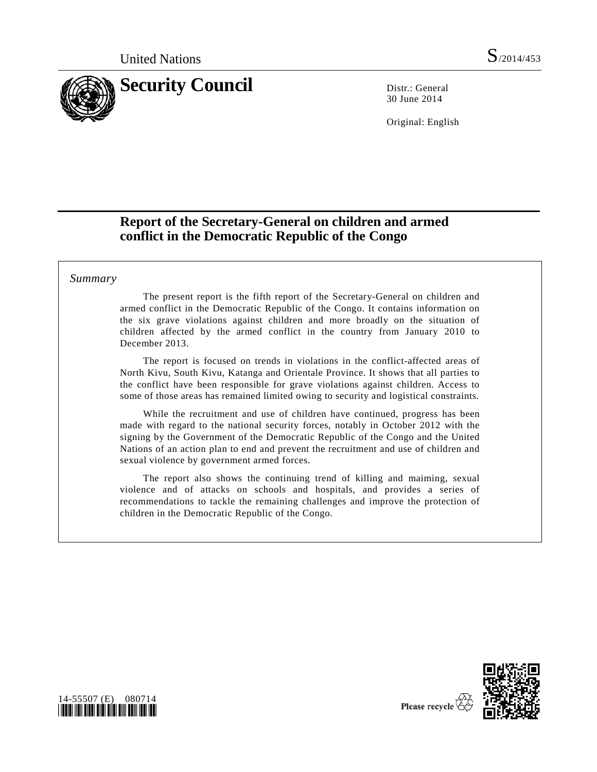

30 June 2014

Original: English

# **Report of the Secretary-General on children and armed conflict in the Democratic Republic of the Congo**

## *Summary*

The present report is the fifth report of the Secretary-General on children and armed conflict in the Democratic Republic of the Congo. It contains information on the six grave violations against children and more broadly on the situation of children affected by the armed conflict in the country from January 2010 to December 2013.

The report is focused on trends in violations in the conflict-affected areas of North Kivu, South Kivu, Katanga and Orientale Province. It shows that all parties to the conflict have been responsible for grave violations against children. Access to some of those areas has remained limited owing to security and logistical constraints.

While the recruitment and use of children have continued, progress has been made with regard to the national security forces, notably in October 2012 with the signing by the Government of the Democratic Republic of the Congo and the United Nations of an action plan to end and prevent the recruitment and use of children and sexual violence by government armed forces.

The report also shows the continuing trend of killing and maiming, sexual violence and of attacks on schools and hospitals, and provides a series of recommendations to tackle the remaining challenges and improve the protection of children in the Democratic Republic of the Congo.



<span id="page-0-0"></span>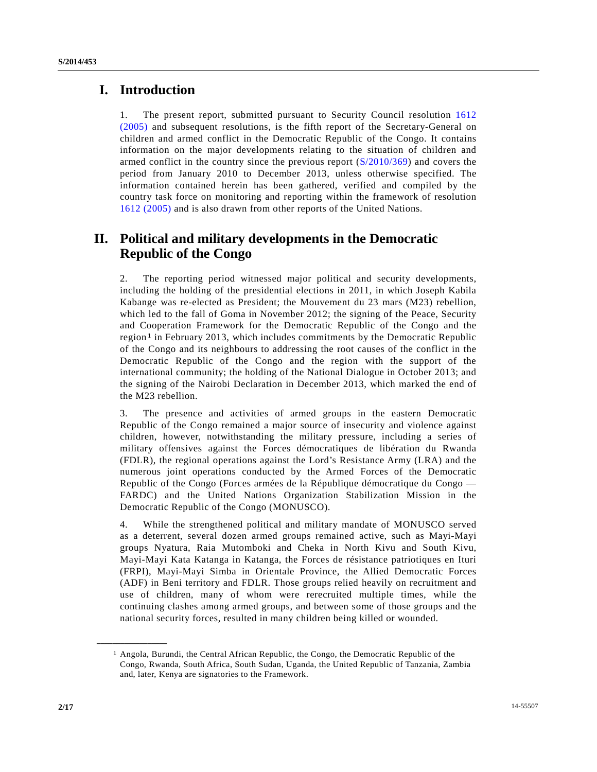# **I. Introduction**

1. The present report, submitted pursuant to Security Council resolution [1612](http://undocs.org/S/RES/1612(2005))  [\(2005\)](http://undocs.org/S/RES/1612(2005)) and subsequent resolutions, is the fifth report of the Secretary-General on children and armed conflict in the Democratic Republic of the Congo. It contains information on the major developments relating to the situation of children and armed conflict in the country since the previous report [\(S/2010/369\)](http://undocs.org/S/2010/369) and covers the period from January 2010 to December 2013, unless otherwise specified. The information contained herein has been gathered, verified and compiled by the country task force on monitoring and reporting within the framework of resolution [1612 \(2005\)](http://undocs.org/S/RES/1612(2005)) and is also drawn from other reports of the United Nations.

# **II. Political and military developments in the Democratic Republic of the Congo**

2. The reporting period witnessed major political and security developments, including the holding of the presidential elections in 2011, in which Joseph Kabila Kabange was re-elected as President; the Mouvement du 23 mars (M23) rebellion, which led to the fall of Goma in November 2012; the signing of the Peace, Security and Cooperation Framework for the Democratic Republic of the Congo and the region<sup>[1](#page-0-0)</sup> in February 2013, which includes commitments by the Democratic Republic of the Congo and its neighbours to addressing the root causes of the conflict in the Democratic Republic of the Congo and the region with the support of the international community; the holding of the National Dialogue in October 2013; and the signing of the Nairobi Declaration in December 2013, which marked the end of the M23 rebellion.

3. The presence and activities of armed groups in the eastern Democratic Republic of the Congo remained a major source of insecurity and violence against children, however, notwithstanding the military pressure, including a series of military offensives against the Forces démocratiques de libération du Rwanda (FDLR), the regional operations against the Lord's Resistance Army (LRA) and the numerous joint operations conducted by the Armed Forces of the Democratic Republic of the Congo (Forces armées de la République démocratique du Congo — FARDC) and the United Nations Organization Stabilization Mission in the Democratic Republic of the Congo (MONUSCO).

4. While the strengthened political and military mandate of MONUSCO served as a deterrent, several dozen armed groups remained active, such as Mayi-Mayi groups Nyatura, Raia Mutomboki and Cheka in North Kivu and South Kivu, Mayi-Mayi Kata Katanga in Katanga, the Forces de résistance patriotiques en Ituri (FRPI), Mayi-Mayi Simba in Orientale Province, the Allied Democratic Forces (ADF) in Beni territory and FDLR. Those groups relied heavily on recruitment and use of children, many of whom were rerecruited multiple times, while the continuing clashes among armed groups, and between some of those groups and the national security forces, resulted in many children being killed or wounded.

<span id="page-1-0"></span><sup>1</sup> Angola, Burundi, the Central African Republic, the Congo, the Democratic Republic of the Congo, Rwanda, South Africa, South Sudan, Uganda, the United Republic of Tanzania, Zambia and, later, Kenya are signatories to the Framework.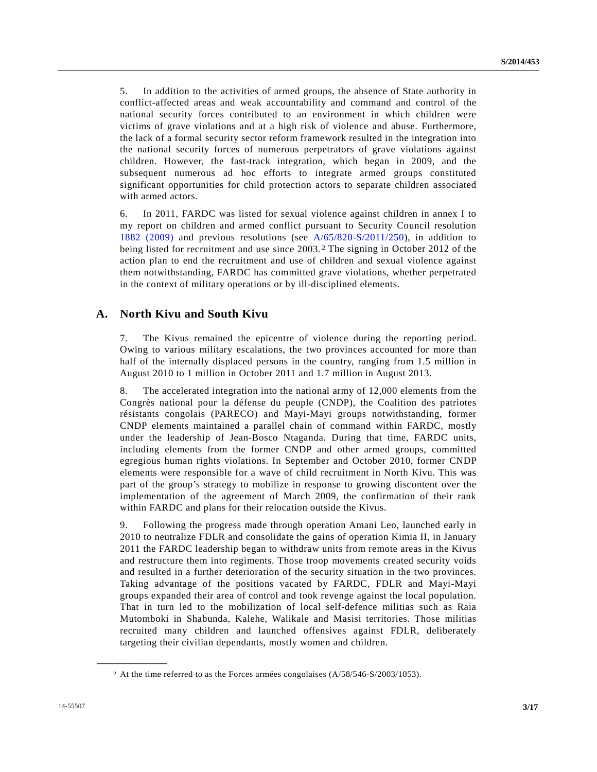5. In addition to the activities of armed groups, the absence of State authority in conflict-affected areas and weak accountability and command and control of the national security forces contributed to an environment in which children were victims of grave violations and at a high risk of violence and abuse. Furthermore, the lack of a formal security sector reform framework resulted in the integration into the national security forces of numerous perpetrators of grave violations against children. However, the fast-track integration, which began in 2009, and the subsequent numerous ad hoc efforts to integrate armed groups constituted significant opportunities for child protection actors to separate children associated with armed actors.

6. In 2011, FARDC was listed for sexual violence against children in annex I to my report on children and armed conflict pursuant to Security Council resolution [1882 \(2009\)](http://undocs.org/S/RES/1882(2009)) and previous resolutions (see [A/65/820-S/2011/250\)](http://undocs.org/A/65/820), in addition to being listed for recruitment and use since 2003. [2](#page-1-0) The signing in October 2012 of the action plan to end the recruitment and use of children and sexual violence against them notwithstanding, FARDC has committed grave violations, whether perpetrated in the context of military operations or by ill-disciplined elements.

## **A. North Kivu and South Kivu**

7. The Kivus remained the epicentre of violence during the reporting period. Owing to various military escalations, the two provinces accounted for more than half of the internally displaced persons in the country, ranging from 1.5 million in August 2010 to 1 million in October 2011 and 1.7 million in August 2013.

8. The accelerated integration into the national army of 12,000 elements from the Congrès national pour la défense du peuple (CNDP), the Coalition des patriotes résistants congolais (PARECO) and Mayi-Mayi groups notwithstanding, former CNDP elements maintained a parallel chain of command within FARDC, mostly under the leadership of Jean-Bosco Ntaganda. During that time, FARDC units, including elements from the former CNDP and other armed groups, committed egregious human rights violations. In September and October 2010, former CNDP elements were responsible for a wave of child recruitment in North Kivu. This was part of the group's strategy to mobilize in response to growing discontent over the implementation of the agreement of March 2009, the confirmation of their rank within FARDC and plans for their relocation outside the Kivus.

9. Following the progress made through operation Amani Leo, launched early in 2010 to neutralize FDLR and consolidate the gains of operation Kimia II, in January 2011 the FARDC leadership began to withdraw units from remote areas in the Kivus and restructure them into regiments. Those troop movements created security voids and resulted in a further deterioration of the security situation in the two provinces. Taking advantage of the positions vacated by FARDC, FDLR and Mayi-Mayi groups expanded their area of control and took revenge against the local population. That in turn led to the mobilization of local self-defence militias such as Raia Mutomboki in Shabunda, Kalehe, Walikale and Masisi territories. Those militias recruited many children and launched offensives against FDLR, deliberately targeting their civilian dependants, mostly women and children.

<span id="page-2-0"></span><sup>2</sup> At the time referred to as the Forces armées congolaises (A/58/546-S/2003/1053).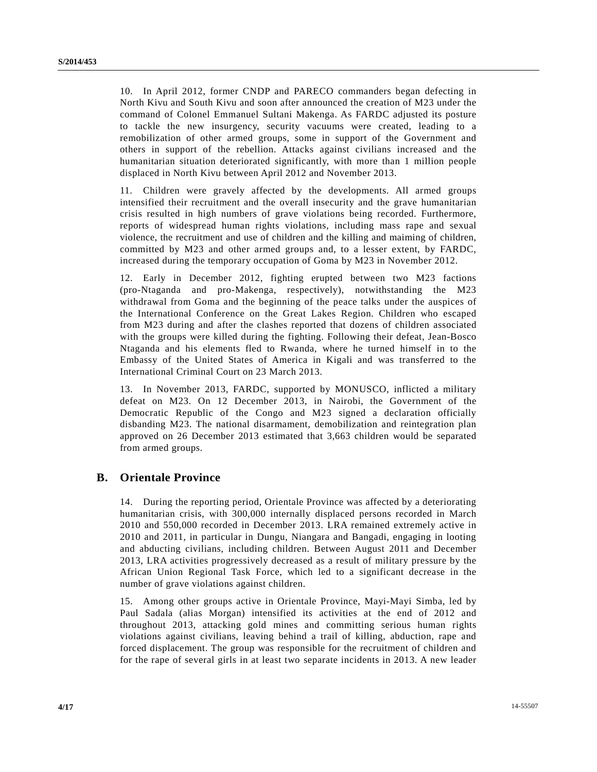10. In April 2012, former CNDP and PARECO commanders began defecting in North Kivu and South Kivu and soon after announced the creation of M23 under the command of Colonel Emmanuel Sultani Makenga. As FARDC adjusted its posture to tackle the new insurgency, security vacuums were created, leading to a remobilization of other armed groups, some in support of the Government and others in support of the rebellion. Attacks against civilians increased and the humanitarian situation deteriorated significantly, with more than 1 million people displaced in North Kivu between April 2012 and November 2013.

11. Children were gravely affected by the developments. All armed groups intensified their recruitment and the overall insecurity and the grave humanitarian crisis resulted in high numbers of grave violations being recorded. Furthermore, reports of widespread human rights violations, including mass rape and sexual violence, the recruitment and use of children and the killing and maiming of children, committed by M23 and other armed groups and, to a lesser extent, by FARDC, increased during the temporary occupation of Goma by M23 in November 2012.

12. Early in December 2012, fighting erupted between two M23 factions (pro-Ntaganda and pro-Makenga, respectively), notwithstanding the M23 withdrawal from Goma and the beginning of the peace talks under the auspices of the International Conference on the Great Lakes Region. Children who escaped from M23 during and after the clashes reported that dozens of children associated with the groups were killed during the fighting. Following their defeat, Jean-Bosco Ntaganda and his elements fled to Rwanda, where he turned himself in to the Embassy of the United States of America in Kigali and was transferred to the International Criminal Court on 23 March 2013.

13. In November 2013, FARDC, supported by MONUSCO, inflicted a military defeat on M23. On 12 December 2013, in Nairobi, the Government of the Democratic Republic of the Congo and M23 signed a declaration officially disbanding M23. The national disarmament, demobilization and reintegration plan approved on 26 December 2013 estimated that 3,663 children would be separated from armed groups.

# **B. Orientale Province**

14. During the reporting period, Orientale Province was affected by a deteriorating humanitarian crisis, with 300,000 internally displaced persons recorded in March 2010 and 550,000 recorded in December 2013. LRA remained extremely active in 2010 and 2011, in particular in Dungu, Niangara and Bangadi, engaging in looting and abducting civilians, including children. Between August 2011 and December 2013, LRA activities progressively decreased as a result of military pressure by the African Union Regional Task Force, which led to a significant decrease in the number of grave violations against children.

15. Among other groups active in Orientale Province, Mayi-Mayi Simba, led by Paul Sadala (alias Morgan) intensified its activities at the end of 2012 and throughout 2013, attacking gold mines and committing serious human rights violations against civilians, leaving behind a trail of killing, abduction, rape and forced displacement. The group was responsible for the recruitment of children and for the rape of several girls in at least two separate incidents in 2013. A new leader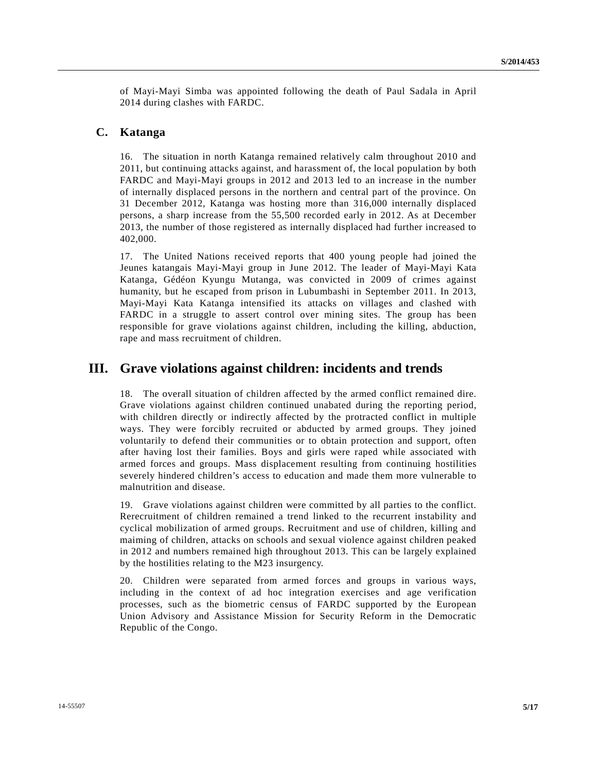of Mayi-Mayi Simba was appointed following the death of Paul Sadala in April 2014 during clashes with FARDC.

## **C. Katanga**

16. The situation in north Katanga remained relatively calm throughout 2010 and 2011, but continuing attacks against, and harassment of, the local population by both FARDC and Mayi-Mayi groups in 2012 and 2013 led to an increase in the number of internally displaced persons in the northern and central part of the province. On 31 December 2012, Katanga was hosting more than 316,000 internally displaced persons, a sharp increase from the 55,500 recorded early in 2012. As at December 2013, the number of those registered as internally displaced had further increased to 402,000.

17. The United Nations received reports that 400 young people had joined the Jeunes katangais Mayi-Mayi group in June 2012. The leader of Mayi-Mayi Kata Katanga, Gédéon Kyungu Mutanga, was convicted in 2009 of crimes against humanity, but he escaped from prison in Lubumbashi in September 2011. In 2013, Mayi-Mayi Kata Katanga intensified its attacks on villages and clashed with FARDC in a struggle to assert control over mining sites. The group has been responsible for grave violations against children, including the killing, abduction, rape and mass recruitment of children.

# **III. Grave violations against children: incidents and trends**

18. The overall situation of children affected by the armed conflict remained dire. Grave violations against children continued unabated during the reporting period, with children directly or indirectly affected by the protracted conflict in multiple ways. They were forcibly recruited or abducted by armed groups. They joined voluntarily to defend their communities or to obtain protection and support, often after having lost their families. Boys and girls were raped while associated with armed forces and groups. Mass displacement resulting from continuing hostilities severely hindered children's access to education and made them more vulnerable to malnutrition and disease.

19. Grave violations against children were committed by all parties to the conflict. Rerecruitment of children remained a trend linked to the recurrent instability and cyclical mobilization of armed groups. Recruitment and use of children, killing and maiming of children, attacks on schools and sexual violence against children peaked in 2012 and numbers remained high throughout 2013. This can be largely explained by the hostilities relating to the M23 insurgency.

20. Children were separated from armed forces and groups in various ways, including in the context of ad hoc integration exercises and age verification processes, such as the biometric census of FARDC supported by the European Union Advisory and Assistance Mission for Security Reform in the Democratic Republic of the Congo.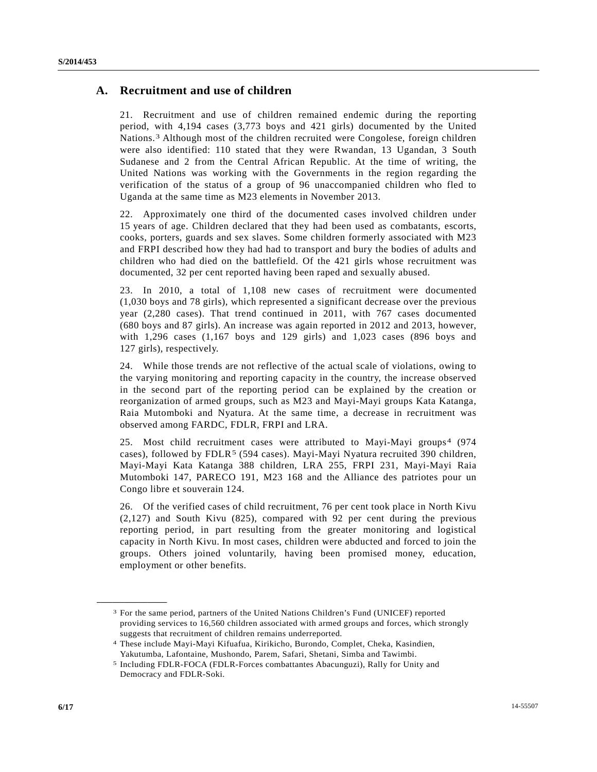# **A. Recruitment and use of children**

21. Recruitment and use of children remained endemic during the reporting period, with 4,194 cases (3,773 boys and 421 girls) documented by the United Nations.[3](#page-2-0) Although most of the children recruited were Congolese, foreign children were also identified: 110 stated that they were Rwandan, 13 Ugandan, 3 South Sudanese and 2 from the Central African Republic. At the time of writing, the United Nations was working with the Governments in the region regarding the verification of the status of a group of 96 unaccompanied children who fled to Uganda at the same time as M23 elements in November 2013.

22. Approximately one third of the documented cases involved children under 15 years of age. Children declared that they had been used as combatants, escorts, cooks, porters, guards and sex slaves. Some children formerly associated with M23 and FRPI described how they had had to transport and bury the bodies of adults and children who had died on the battlefield. Of the 421 girls whose recruitment was documented, 32 per cent reported having been raped and sexually abused.

23. In 2010, a total of 1,108 new cases of recruitment were documented (1,030 boys and 78 girls), which represented a significant decrease over the previous year (2,280 cases). That trend continued in 2011, with 767 cases documented (680 boys and 87 girls). An increase was again reported in 2012 and 2013, however, with 1,296 cases (1,167 boys and 129 girls) and 1,023 cases (896 boys and 127 girls), respectively.

24. While those trends are not reflective of the actual scale of violations, owing to the varying monitoring and reporting capacity in the country, the increase observed in the second part of the reporting period can be explained by the creation or reorganization of armed groups, such as M23 and Mayi-Mayi groups Kata Katanga, Raia Mutomboki and Nyatura. At the same time, a decrease in recruitment was observed among FARDC, FDLR, FRPI and LRA.

25. Most child recruitment cases were attributed to Mayi-Mayi groups[4](#page-5-0) (974 cases), followed by FDLR<sup>[5](#page-5-1)</sup> (594 cases). Mayi-Mayi Nyatura recruited 390 children, Mayi-Mayi Kata Katanga 388 children, LRA 255, FRPI 231, Mayi-Mayi Raia Mutomboki 147, PARECO 191, M23 168 and the Alliance des patriotes pour un Congo libre et souverain 124.

26. Of the verified cases of child recruitment, 76 per cent took place in North Kivu (2,127) and South Kivu (825), compared with 92 per cent during the previous reporting period, in part resulting from the greater monitoring and logistical capacity in North Kivu. In most cases, children were abducted and forced to join the groups. Others joined voluntarily, having been promised money, education, employment or other benefits.

<sup>3</sup> For the same period, partners of the United Nations Children's Fund (UNICEF) reported providing services to 16,560 children associated with armed groups and forces, which strongly suggests that recruitment of children remains underreported.

<span id="page-5-2"></span><span id="page-5-0"></span><sup>4</sup> These include Mayi-Mayi Kifuafua, Kirikicho, Burondo, Complet, Cheka, Kasindien, Yakutumba, Lafontaine, Mushondo, Parem, Safari, Shetani, Simba and Tawimbi.

<span id="page-5-1"></span><sup>5</sup> Including FDLR-FOCA (FDLR-Forces combattantes Abacunguzi), Rally for Unity and Democracy and FDLR-Soki.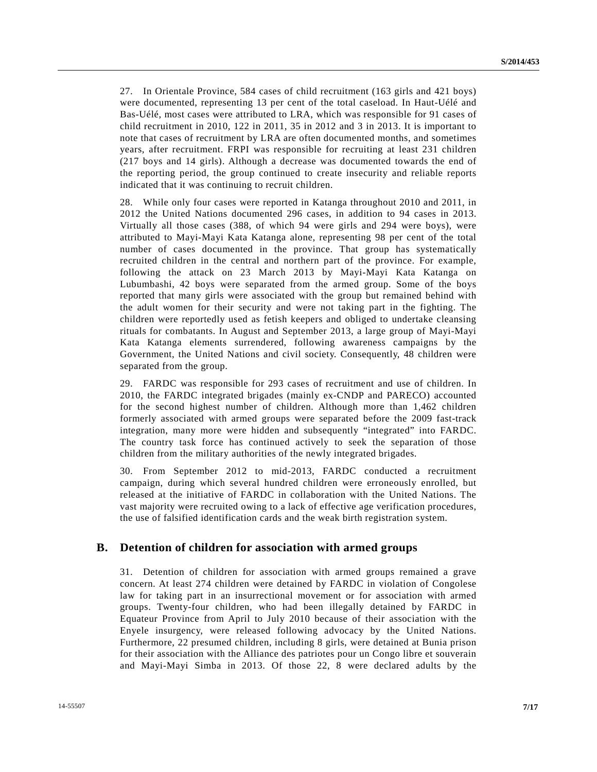27. In Orientale Province, 584 cases of child recruitment (163 girls and 421 boys) were documented, representing 13 per cent of the total caseload. In Haut-Uélé and Bas-Uélé, most cases were attributed to LRA, which was responsible for 91 cases of child recruitment in 2010, 122 in 2011, 35 in 2012 and 3 in 2013. It is important to note that cases of recruitment by LRA are often documented months, and sometimes years, after recruitment. FRPI was responsible for recruiting at least 231 children (217 boys and 14 girls). Although a decrease was documented towards the end of the reporting period, the group continued to create insecurity and reliable reports indicated that it was continuing to recruit children.

28. While only four cases were reported in Katanga throughout 2010 and 2011, in 2012 the United Nations documented 296 cases, in addition to 94 cases in 2013. Virtually all those cases (388, of which 94 were girls and 294 were boys), were attributed to Mayi-Mayi Kata Katanga alone, representing 98 per cent of the total number of cases documented in the province. That group has systematically recruited children in the central and northern part of the province. For example, following the attack on 23 March 2013 by Mayi-Mayi Kata Katanga on Lubumbashi, 42 boys were separated from the armed group. Some of the boys reported that many girls were associated with the group but remained behind with the adult women for their security and were not taking part in the fighting. The children were reportedly used as fetish keepers and obliged to undertake cleansing rituals for combatants. In August and September 2013, a large group of Mayi-Mayi Kata Katanga elements surrendered, following awareness campaigns by the Government, the United Nations and civil society. Consequently, 48 children were separated from the group.

29. FARDC was responsible for 293 cases of recruitment and use of children. In 2010, the FARDC integrated brigades (mainly ex-CNDP and PARECO) accounted for the second highest number of children. Although more than 1,462 children formerly associated with armed groups were separated before the 2009 fast-track integration, many more were hidden and subsequently "integrated" into FARDC. The country task force has continued actively to seek the separation of those children from the military authorities of the newly integrated brigades.

30. From September 2012 to mid-2013, FARDC conducted a recruitment campaign, during which several hundred children were erroneously enrolled, but released at the initiative of FARDC in collaboration with the United Nations. The vast majority were recruited owing to a lack of effective age verification procedures, the use of falsified identification cards and the weak birth registration system.

#### **B. Detention of children for association with armed groups**

31. Detention of children for association with armed groups remained a grave concern. At least 274 children were detained by FARDC in violation of Congolese law for taking part in an insurrectional movement or for association with armed groups. Twenty-four children, who had been illegally detained by FARDC in Equateur Province from April to July 2010 because of their association with the Enyele insurgency, were released following advocacy by the United Nations. Furthermore, 22 presumed children, including 8 girls, were detained at Bunia prison for their association with the Alliance des patriotes pour un Congo libre et souverain and Mayi-Mayi Simba in 2013. Of those 22, 8 were declared adults by the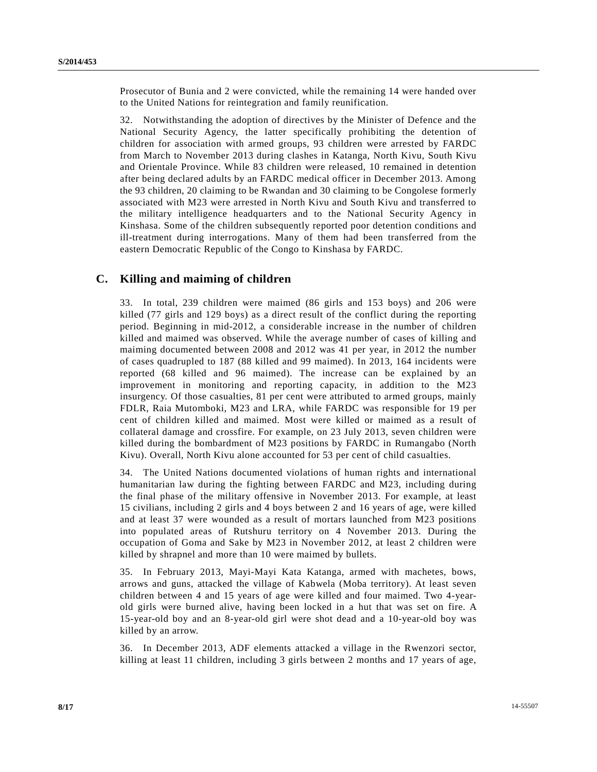Prosecutor of Bunia and 2 were convicted, while the remaining 14 were handed over to the United Nations for reintegration and family reunification.

32. Notwithstanding the adoption of directives by the Minister of Defence and the National Security Agency, the latter specifically prohibiting the detention of children for association with armed groups, 93 children were arrested by FARDC from March to November 2013 during clashes in Katanga, North Kivu, South Kivu and Orientale Province. While 83 children were released, 10 remained in detention after being declared adults by an FARDC medical officer in December 2013. Among the 93 children, 20 claiming to be Rwandan and 30 claiming to be Congolese formerly associated with M23 were arrested in North Kivu and South Kivu and transferred to the military intelligence headquarters and to the National Security Agency in Kinshasa. Some of the children subsequently reported poor detention conditions and ill-treatment during interrogations. Many of them had been transferred from the eastern Democratic Republic of the Congo to Kinshasa by FARDC.

## **C. Killing and maiming of children**

33. In total, 239 children were maimed (86 girls and 153 boys) and 206 were killed (77 girls and 129 boys) as a direct result of the conflict during the reporting period. Beginning in mid-2012, a considerable increase in the number of children killed and maimed was observed. While the average number of cases of killing and maiming documented between 2008 and 2012 was 41 per year, in 2012 the number of cases quadrupled to 187 (88 killed and 99 maimed). In 2013, 164 incidents were reported (68 killed and 96 maimed). The increase can be explained by an improvement in monitoring and reporting capacity, in addition to the M23 insurgency. Of those casualties, 81 per cent were attributed to armed groups, mainly FDLR, Raia Mutomboki, M23 and LRA, while FARDC was responsible for 19 per cent of children killed and maimed. Most were killed or maimed as a result of collateral damage and crossfire. For example, on 23 July 2013, seven children were killed during the bombardment of M23 positions by FARDC in Rumangabo (North Kivu). Overall, North Kivu alone accounted for 53 per cent of child casualties.

34. The United Nations documented violations of human rights and international humanitarian law during the fighting between FARDC and M23, including during the final phase of the military offensive in November 2013. For example, at least 15 civilians, including 2 girls and 4 boys between 2 and 16 years of age, were killed and at least 37 were wounded as a result of mortars launched from M23 positions into populated areas of Rutshuru territory on 4 November 2013. During the occupation of Goma and Sake by M23 in November 2012, at least 2 children were killed by shrapnel and more than 10 were maimed by bullets.

35. In February 2013, Mayi-Mayi Kata Katanga, armed with machetes, bows, arrows and guns, attacked the village of Kabwela (Moba territory). At least seven children between 4 and 15 years of age were killed and four maimed. Two 4-yearold girls were burned alive, having been locked in a hut that was set on fire. A 15-year-old boy and an 8-year-old girl were shot dead and a 10-year-old boy was killed by an arrow.

36. In December 2013, ADF elements attacked a village in the Rwenzori sector, killing at least 11 children, including 3 girls between 2 months and 17 years of age,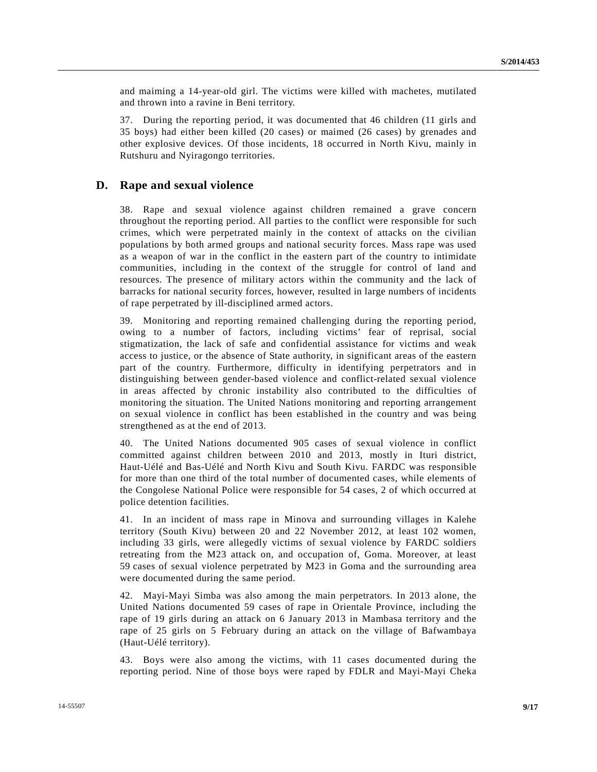and maiming a 14-year-old girl. The victims were killed with machetes, mutilated and thrown into a ravine in Beni territory.

37. During the reporting period, it was documented that 46 children (11 girls and 35 boys) had either been killed (20 cases) or maimed (26 cases) by grenades and other explosive devices. Of those incidents, 18 occurred in North Kivu, mainly in Rutshuru and Nyiragongo territories.

#### **D. Rape and sexual violence**

38. Rape and sexual violence against children remained a grave concern throughout the reporting period. All parties to the conflict were responsible for such crimes, which were perpetrated mainly in the context of attacks on the civilian populations by both armed groups and national security forces. Mass rape was used as a weapon of war in the conflict in the eastern part of the country to intimidate communities, including in the context of the struggle for control of land and resources. The presence of military actors within the community and the lack of barracks for national security forces, however, resulted in large numbers of incidents of rape perpetrated by ill-disciplined armed actors.

39. Monitoring and reporting remained challenging during the reporting period, owing to a number of factors, including victims' fear of reprisal, social stigmatization, the lack of safe and confidential assistance for victims and weak access to justice, or the absence of State authority, in significant areas of the eastern part of the country. Furthermore, difficulty in identifying perpetrators and in distinguishing between gender-based violence and conflict-related sexual violence in areas affected by chronic instability also contributed to the difficulties of monitoring the situation. The United Nations monitoring and reporting arrangement on sexual violence in conflict has been established in the country and was being strengthened as at the end of 2013.

40. The United Nations documented 905 cases of sexual violence in conflict committed against children between 2010 and 2013, mostly in Ituri district, Haut-Uélé and Bas-Uélé and North Kivu and South Kivu. FARDC was responsible for more than one third of the total number of documented cases, while elements of the Congolese National Police were responsible for 54 cases, 2 of which occurred at police detention facilities.

41. In an incident of mass rape in Minova and surrounding villages in Kalehe territory (South Kivu) between 20 and 22 November 2012, at least 102 women, including 33 girls, were allegedly victims of sexual violence by FARDC soldiers retreating from the M23 attack on, and occupation of, Goma. Moreover, at least 59 cases of sexual violence perpetrated by M23 in Goma and the surrounding area were documented during the same period.

42. Mayi-Mayi Simba was also among the main perpetrators. In 2013 alone, the United Nations documented 59 cases of rape in Orientale Province, including the rape of 19 girls during an attack on 6 January 2013 in Mambasa territory and the rape of 25 girls on 5 February during an attack on the village of Bafwambaya (Haut-Uélé territory).

43. Boys were also among the victims, with 11 cases documented during the reporting period. Nine of those boys were raped by FDLR and Mayi-Mayi Cheka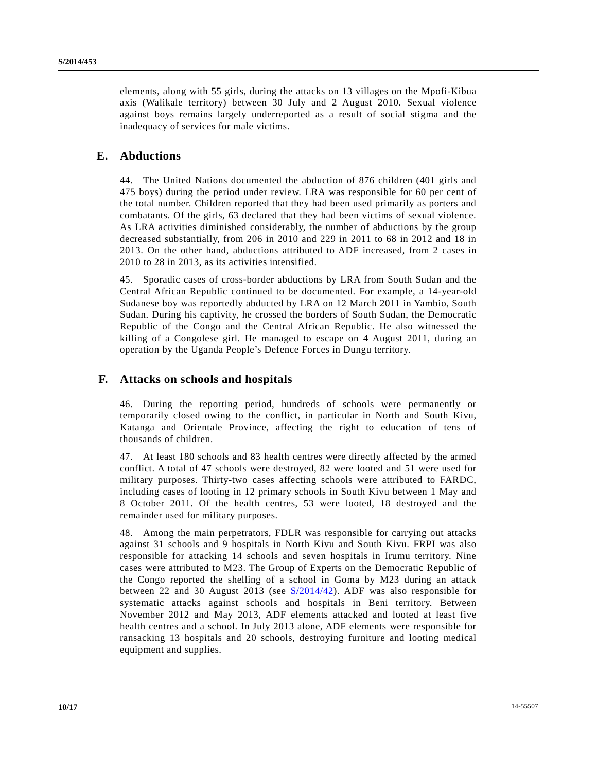elements, along with 55 girls, during the attacks on 13 villages on the Mpofi-Kibua axis (Walikale territory) between 30 July and 2 August 2010. Sexual violence against boys remains largely underreported as a result of social stigma and the inadequacy of services for male victims.

## **E. Abductions**

44. The United Nations documented the abduction of 876 children (401 girls and 475 boys) during the period under review. LRA was responsible for 60 per cent of the total number. Children reported that they had been used primarily as porters and combatants. Of the girls, 63 declared that they had been victims of sexual violence. As LRA activities diminished considerably, the number of abductions by the group decreased substantially, from 206 in 2010 and 229 in 2011 to 68 in 2012 and 18 in 2013. On the other hand, abductions attributed to ADF increased, from 2 cases in 2010 to 28 in 2013, as its activities intensified.

45. Sporadic cases of cross-border abductions by LRA from South Sudan and the Central African Republic continued to be documented. For example, a 14-year-old Sudanese boy was reportedly abducted by LRA on 12 March 2011 in Yambio, South Sudan. During his captivity, he crossed the borders of South Sudan, the Democratic Republic of the Congo and the Central African Republic. He also witnessed the killing of a Congolese girl. He managed to escape on 4 August 2011, during an operation by the Uganda People's Defence Forces in Dungu territory.

#### **F. Attacks on schools and hospitals**

46. During the reporting period, hundreds of schools were permanently or temporarily closed owing to the conflict, in particular in North and South Kivu, Katanga and Orientale Province, affecting the right to education of tens of thousands of children.

47. At least 180 schools and 83 health centres were directly affected by the armed conflict. A total of 47 schools were destroyed, 82 were looted and 51 were used for military purposes. Thirty-two cases affecting schools were attributed to FARDC, including cases of looting in 12 primary schools in South Kivu between 1 May and 8 October 2011. Of the health centres, 53 were looted, 18 destroyed and the remainder used for military purposes.

48. Among the main perpetrators, FDLR was responsible for carrying out attacks against 31 schools and 9 hospitals in North Kivu and South Kivu. FRPI was also responsible for attacking 14 schools and seven hospitals in Irumu territory. Nine cases were attributed to M23. The Group of Experts on the Democratic Republic of the Congo reported the shelling of a school in Goma by M23 during an attack between 22 and 30 August 2013 (see [S/2014/42\)](http://undocs.org/S/2014/42). ADF was also responsible for systematic attacks against schools and hospitals in Beni territory. Between November 2012 and May 2013, ADF elements attacked and looted at least five health centres and a school. In July 2013 alone, ADF elements were responsible for ransacking 13 hospitals and 20 schools, destroying furniture and looting medical equipment and supplies.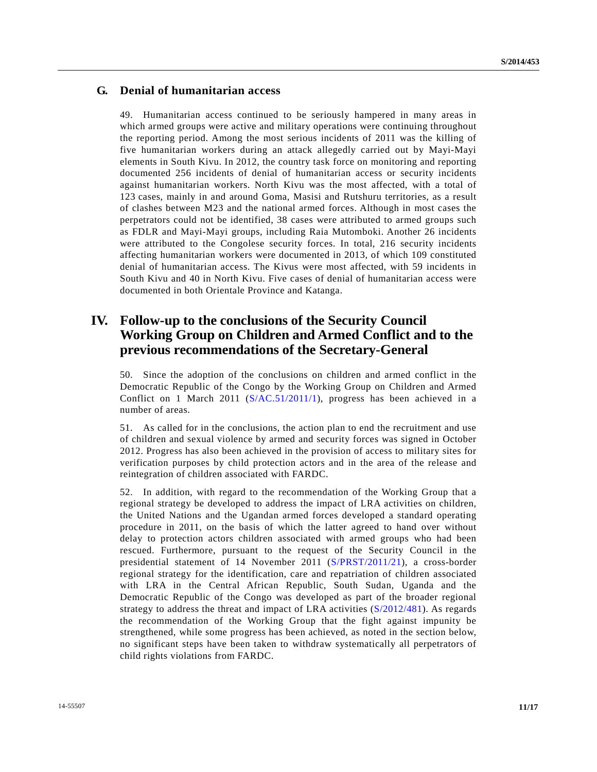# **G. Denial of humanitarian access**

49. Humanitarian access continued to be seriously hampered in many areas in which armed groups were active and military operations were continuing throughout the reporting period. Among the most serious incidents of 2011 was the killing of five humanitarian workers during an attack allegedly carried out by Mayi-Mayi elements in South Kivu. In 2012, the country task force on monitoring and reporting documented 256 incidents of denial of humanitarian access or security incidents against humanitarian workers. North Kivu was the most affected, with a total of 123 cases, mainly in and around Goma, Masisi and Rutshuru territories, as a result of clashes between M23 and the national armed forces. Although in most cases the perpetrators could not be identified, 38 cases were attributed to armed groups such as FDLR and Mayi-Mayi groups, including Raia Mutomboki. Another 26 incidents were attributed to the Congolese security forces. In total, 216 security incidents affecting humanitarian workers were documented in 2013, of which 109 constituted denial of humanitarian access. The Kivus were most affected, with 59 incidents in South Kivu and 40 in North Kivu. Five cases of denial of humanitarian access were documented in both Orientale Province and Katanga.

# **IV. Follow-up to the conclusions of the Security Council Working Group on Children and Armed Conflict and to the previous recommendations of the Secretary-General**

50. Since the adoption of the conclusions on children and armed conflict in the Democratic Republic of the Congo by the Working Group on Children and Armed Conflict on 1 March 2011 [\(S/AC.51/2011/1\)](http://undocs.org/S/AC.51/2011/1), progress has been achieved in a number of areas.

51. As called for in the conclusions, the action plan to end the recruitment and use of children and sexual violence by armed and security forces was signed in October 2012. Progress has also been achieved in the provision of access to military sites for verification purposes by child protection actors and in the area of the release and reintegration of children associated with FARDC.

52. In addition, with regard to the recommendation of the Working Group that a regional strategy be developed to address the impact of LRA activities on children, the United Nations and the Ugandan armed forces developed a standard operating procedure in 2011, on the basis of which the latter agreed to hand over without delay to protection actors children associated with armed groups who had been rescued. Furthermore, pursuant to the request of the Security Council in the presidential statement of 14 November 2011 [\(S/PRST/2011/21\)](http://undocs.org/S/PRST/2011/21), a cross-border regional strategy for the identification, care and repatriation of children associated with LRA in the Central African Republic, South Sudan, Uganda and the Democratic Republic of the Congo was developed as part of the broader regional strategy to address the threat and impact of LRA activities [\(S/2012/481\)](http://undocs.org/S/2012/481). As regards the recommendation of the Working Group that the fight against impunity be strengthened, while some progress has been achieved, as noted in the section below, no significant steps have been taken to withdraw systematically all perpetrators of child rights violations from FARDC.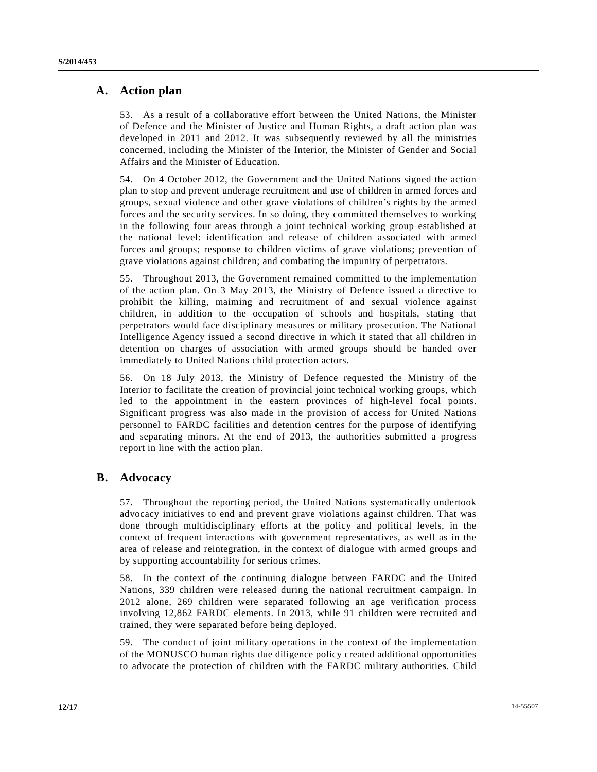# **A. Action plan**

53. As a result of a collaborative effort between the United Nations, the Minister of Defence and the Minister of Justice and Human Rights, a draft action plan was developed in 2011 and 2012. It was subsequently reviewed by all the ministries concerned, including the Minister of the Interior, the Minister of Gender and Social Affairs and the Minister of Education.

54. On 4 October 2012, the Government and the United Nations signed the action plan to stop and prevent underage recruitment and use of children in armed forces and groups, sexual violence and other grave violations of children's rights by the armed forces and the security services. In so doing, they committed themselves to working in the following four areas through a joint technical working group established at the national level: identification and release of children associated with armed forces and groups; response to children victims of grave violations; prevention of grave violations against children; and combating the impunity of perpetrators.

55. Throughout 2013, the Government remained committed to the implementation of the action plan. On 3 May 2013, the Ministry of Defence issued a directive to prohibit the killing, maiming and recruitment of and sexual violence against children, in addition to the occupation of schools and hospitals, stating that perpetrators would face disciplinary measures or military prosecution. The National Intelligence Agency issued a second directive in which it stated that all children in detention on charges of association with armed groups should be handed over immediately to United Nations child protection actors.

56. On 18 July 2013, the Ministry of Defence requested the Ministry of the Interior to facilitate the creation of provincial joint technical working groups, which led to the appointment in the eastern provinces of high-level focal points. Significant progress was also made in the provision of access for United Nations personnel to FARDC facilities and detention centres for the purpose of identifying and separating minors. At the end of 2013, the authorities submitted a progress report in line with the action plan.

# **B. Advocacy**

57. Throughout the reporting period, the United Nations systematically undertook advocacy initiatives to end and prevent grave violations against children. That was done through multidisciplinary efforts at the policy and political levels, in the context of frequent interactions with government representatives, as well as in the area of release and reintegration, in the context of dialogue with armed groups and by supporting accountability for serious crimes.

58. In the context of the continuing dialogue between FARDC and the United Nations, 339 children were released during the national recruitment campaign. In 2012 alone, 269 children were separated following an age verification process involving 12,862 FARDC elements. In 2013, while 91 children were recruited and trained, they were separated before being deployed.

59. The conduct of joint military operations in the context of the implementation of the MONUSCO human rights due diligence policy created additional opportunities to advocate the protection of children with the FARDC military authorities. Child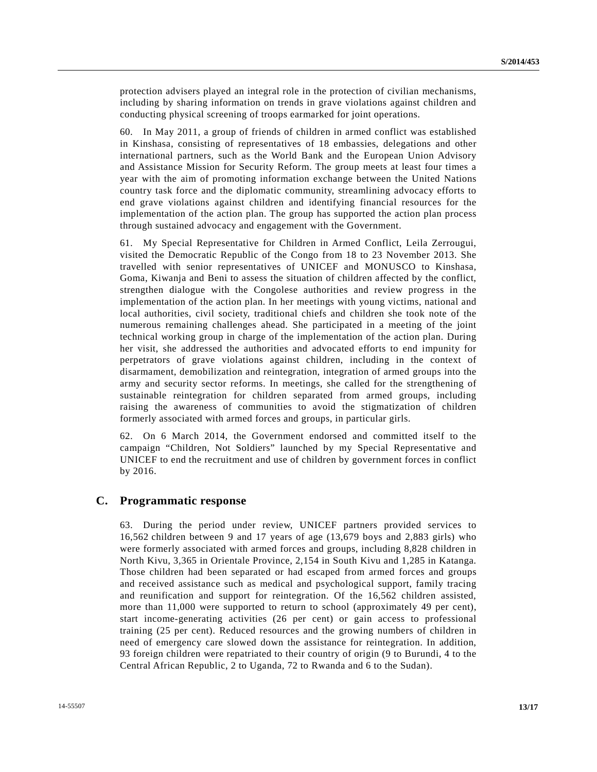protection advisers played an integral role in the protection of civilian mechanisms, including by sharing information on trends in grave violations against children and conducting physical screening of troops earmarked for joint operations.

60. In May 2011, a group of friends of children in armed conflict was established in Kinshasa, consisting of representatives of 18 embassies, delegations and other international partners, such as the World Bank and the European Union Advisory and Assistance Mission for Security Reform. The group meets at least four times a year with the aim of promoting information exchange between the United Nations country task force and the diplomatic community, streamlining advocacy efforts to end grave violations against children and identifying financial resources for the implementation of the action plan. The group has supported the action plan process through sustained advocacy and engagement with the Government.

61. My Special Representative for Children in Armed Conflict, Leila Zerrougui, visited the Democratic Republic of the Congo from 18 to 23 November 2013. She travelled with senior representatives of UNICEF and MONUSCO to Kinshasa, Goma, Kiwanja and Beni to assess the situation of children affected by the conflict, strengthen dialogue with the Congolese authorities and review progress in the implementation of the action plan. In her meetings with young victims, national and local authorities, civil society, traditional chiefs and children she took note of the numerous remaining challenges ahead. She participated in a meeting of the joint technical working group in charge of the implementation of the action plan. During her visit, she addressed the authorities and advocated efforts to end impunity for perpetrators of grave violations against children, including in the context of disarmament, demobilization and reintegration, integration of armed groups into the army and security sector reforms. In meetings, she called for the strengthening of sustainable reintegration for children separated from armed groups, including raising the awareness of communities to avoid the stigmatization of children formerly associated with armed forces and groups, in particular girls.

62. On 6 March 2014, the Government endorsed and committed itself to the campaign "Children, Not Soldiers" launched by my Special Representative and UNICEF to end the recruitment and use of children by government forces in conflict by 2016.

#### **C. Programmatic response**

63. During the period under review, UNICEF partners provided services to 16,562 children between 9 and 17 years of age (13,679 boys and 2,883 girls) who were formerly associated with armed forces and groups, including 8,828 children in North Kivu, 3,365 in Orientale Province, 2,154 in South Kivu and 1,285 in Katanga. Those children had been separated or had escaped from armed forces and groups and received assistance such as medical and psychological support, family tracing and reunification and support for reintegration. Of the 16,562 children assisted, more than 11,000 were supported to return to school (approximately 49 per cent), start income-generating activities (26 per cent) or gain access to professional training (25 per cent). Reduced resources and the growing numbers of children in need of emergency care slowed down the assistance for reintegration. In addition, 93 foreign children were repatriated to their country of origin (9 to Burundi, 4 to the Central African Republic, 2 to Uganda, 72 to Rwanda and 6 to the Sudan).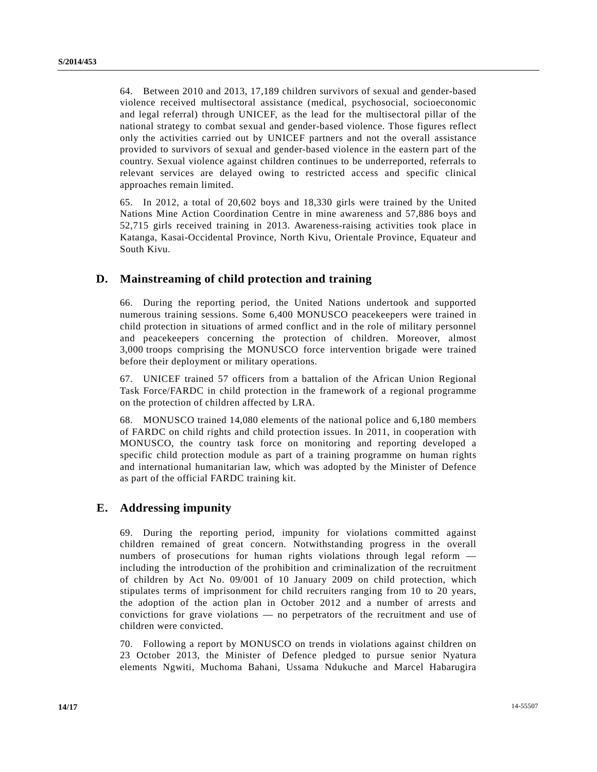64. Between 2010 and 2013, 17,189 children survivors of sexual and gender-based violence received multisectoral assistance (medical, psychosocial, socioeconomic and legal referral) through UNICEF, as the lead for the multisectoral pillar of the national strategy to combat sexual and gender-based violence. Those figures reflect only the activities carried out by UNICEF partners and not the overall assistance provided to survivors of sexual and gender-based violence in the eastern part of the country. Sexual violence against children continues to be underreported, referrals to relevant services are delayed owing to restricted access and specific clinical approaches remain limited.

65. In 2012, a total of 20,602 boys and 18,330 girls were trained by the United Nations Mine Action Coordination Centre in mine awareness and 57,886 boys and 52,715 girls received training in 2013. Awareness-raising activities took place in Katanga, Kasai-Occidental Province, North Kivu, Orientale Province, Equateur and South Kivu.

# **D. Mainstreaming of child protection and training**

66. During the reporting period, the United Nations undertook and supported numerous training sessions. Some 6,400 MONUSCO peacekeepers were trained in child protection in situations of armed conflict and in the role of military personnel and peacekeepers concerning the protection of children. Moreover, almost 3,000 troops comprising the MONUSCO force intervention brigade were trained before their deployment or military operations.

67. UNICEF trained 57 officers from a battalion of the African Union Regional Task Force/FARDC in child protection in the framework of a regional programme on the protection of children affected by LRA.

68. MONUSCO trained 14,080 elements of the national police and 6,180 members of FARDC on child rights and child protection issues. In 2011, in cooperation with MONUSCO, the country task force on monitoring and reporting developed a specific child protection module as part of a training programme on human rights and international humanitarian law, which was adopted by the Minister of Defence as part of the official FARDC training kit.

# **E. Addressing impunity**

69. During the reporting period, impunity for violations committed against children remained of great concern. Notwithstanding progress in the overall numbers of prosecutions for human rights violations through legal reform including the introduction of the prohibition and criminalization of the recruitment of children by Act No. 09/001 of 10 January 2009 on child protection, which stipulates terms of imprisonment for child recruiters ranging from 10 to 20 years, the adoption of the action plan in October 2012 and a number of arrests and convictions for grave violations — no perpetrators of the recruitment and use of children were convicted.

70. Following a report by MONUSCO on trends in violations against children on 23 October 2013, the Minister of Defence pledged to pursue senior Nyatura elements Ngwiti, Muchoma Bahani, Ussama Ndukuche and Marcel Habarugira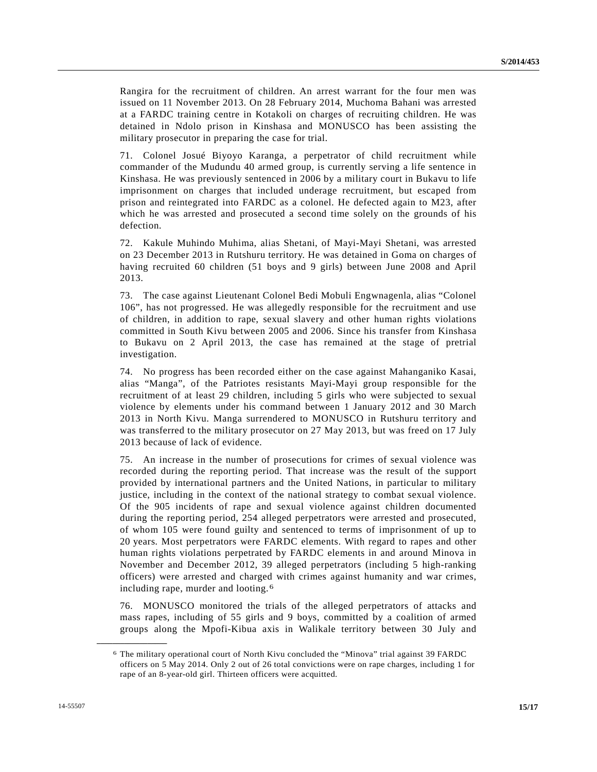Rangira for the recruitment of children. An arrest warrant for the four men was issued on 11 November 2013. On 28 February 2014, Muchoma Bahani was arrested at a FARDC training centre in Kotakoli on charges of recruiting children. He was detained in Ndolo prison in Kinshasa and MONUSCO has been assisting the military prosecutor in preparing the case for trial.

71. Colonel Josué Biyoyo Karanga, a perpetrator of child recruitment while commander of the Mudundu 40 armed group, is currently serving a life sentence in Kinshasa. He was previously sentenced in 2006 by a military court in Bukavu to life imprisonment on charges that included underage recruitment, but escaped from prison and reintegrated into FARDC as a colonel. He defected again to M23, after which he was arrested and prosecuted a second time solely on the grounds of his defection.

72. Kakule Muhindo Muhima, alias Shetani, of Mayi-Mayi Shetani, was arrested on 23 December 2013 in Rutshuru territory. He was detained in Goma on charges of having recruited 60 children (51 boys and 9 girls) between June 2008 and April 2013.

73. The case against Lieutenant Colonel Bedi Mobuli Engwnagenla, alias "Colonel 106", has not progressed. He was allegedly responsible for the recruitment and use of children, in addition to rape, sexual slavery and other human rights violations committed in South Kivu between 2005 and 2006. Since his transfer from Kinshasa to Bukavu on 2 April 2013, the case has remained at the stage of pretrial investigation.

74. No progress has been recorded either on the case against Mahanganiko Kasai, alias "Manga", of the Patriotes resistants Mayi-Mayi group responsible for the recruitment of at least 29 children, including 5 girls who were subjected to sexual violence by elements under his command between 1 January 2012 and 30 March 2013 in North Kivu. Manga surrendered to MONUSCO in Rutshuru territory and was transferred to the military prosecutor on 27 May 2013, but was freed on 17 July 2013 because of lack of evidence.

75. An increase in the number of prosecutions for crimes of sexual violence was recorded during the reporting period. That increase was the result of the support provided by international partners and the United Nations, in particular to military justice, including in the context of the national strategy to combat sexual violence. Of the 905 incidents of rape and sexual violence against children documented during the reporting period, 254 alleged perpetrators were arrested and prosecuted, of whom 105 were found guilty and sentenced to terms of imprisonment of up to 20 years. Most perpetrators were FARDC elements. With regard to rapes and other human rights violations perpetrated by FARDC elements in and around Minova in November and December 2012, 39 alleged perpetrators (including 5 high-ranking officers) were arrested and charged with crimes against humanity and war crimes, including rape, murder and looting. [6](#page-5-2)

76. MONUSCO monitored the trials of the alleged perpetrators of attacks and mass rapes, including of 55 girls and 9 boys, committed by a coalition of armed groups along the Mpofi-Kibua axis in Walikale territory between 30 July and

<sup>6</sup> The military operational court of North Kivu concluded the "Minova" trial against 39 FARDC officers on 5 May 2014. Only 2 out of 26 total convictions were on rape charges, including 1 for rape of an 8-year-old girl. Thirteen officers were acquitted.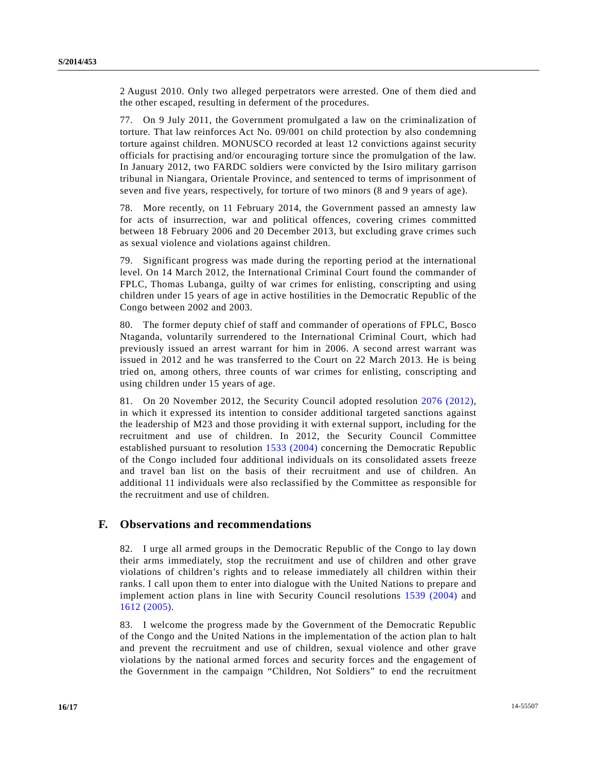2 August 2010. Only two alleged perpetrators were arrested. One of them died and the other escaped, resulting in deferment of the procedures.

77. On 9 July 2011, the Government promulgated a law on the criminalization of torture. That law reinforces Act No. 09/001 on child protection by also condemning torture against children. MONUSCO recorded at least 12 convictions against security officials for practising and/or encouraging torture since the promulgation of the law. In January 2012, two FARDC soldiers were convicted by the Isiro military garrison tribunal in Niangara, Orientale Province, and sentenced to terms of imprisonment of seven and five years, respectively, for torture of two minors (8 and 9 years of age).

78. More recently, on 11 February 2014, the Government passed an amnesty law for acts of insurrection, war and political offences, covering crimes committed between 18 February 2006 and 20 December 2013, but excluding grave crimes such as sexual violence and violations against children.

79. Significant progress was made during the reporting period at the international level. On 14 March 2012, the International Criminal Court found the commander of FPLC, Thomas Lubanga, guilty of war crimes for enlisting, conscripting and using children under 15 years of age in active hostilities in the Democratic Republic of the Congo between 2002 and 2003.

80. The former deputy chief of staff and commander of operations of FPLC, Bosco Ntaganda, voluntarily surrendered to the International Criminal Court, which had previously issued an arrest warrant for him in 2006. A second arrest warrant was issued in 2012 and he was transferred to the Court on 22 March 2013. He is being tried on, among others, three counts of war crimes for enlisting, conscripting and using children under 15 years of age.

81. On 20 November 2012, the Security Council adopted resolution [2076 \(2012\),](http://undocs.org/S/RES/2076(2012)) in which it expressed its intention to consider additional targeted sanctions against the leadership of M23 and those providing it with external support, including for the recruitment and use of children. In 2012, the Security Council Committee established pursuant to resolution 1533 [\(2004\)](http://undocs.org/1533(2004)) concerning the Democratic Republic of the Congo included four additional individuals on its consolidated assets freeze and travel ban list on the basis of their recruitment and use of children. An additional 11 individuals were also reclassified by the Committee as responsible for the recruitment and use of children.

#### **F. Observations and recommendations**

82. I urge all armed groups in the Democratic Republic of the Congo to lay down their arms immediately, stop the recruitment and use of children and other grave violations of children's rights and to release immediately all children within their ranks. I call upon them to enter into dialogue with the United Nations to prepare and implement action plans in line with Security Council resolutions [1539 \(2004\)](http://undocs.org/S/RES/1539(2004)) and [1612 \(2005\).](http://undocs.org/S/RES/1612(2005))

83. I welcome the progress made by the Government of the Democratic Republic of the Congo and the United Nations in the implementation of the action plan to halt and prevent the recruitment and use of children, sexual violence and other grave violations by the national armed forces and security forces and the engagement of the Government in the campaign "Children, Not Soldiers" to end the recruitment